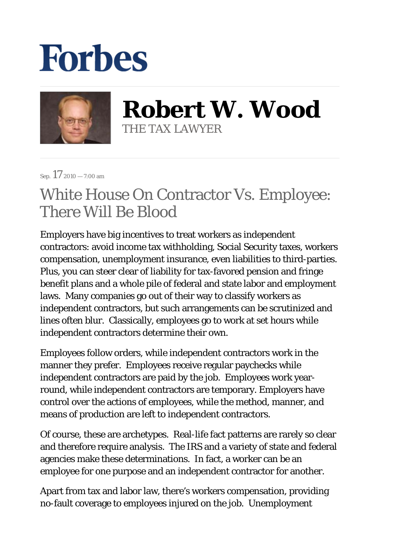## **Forbes**



**Robert W. Wood** THE TAX LAWYER

Sep.  $17_{2010 - 7:00 \text{ am}}$ 

## White House On Contractor Vs. Employee: There Will Be Blood

Employers have big incentives to treat workers as independent contractors: avoid income tax withholding, Social Security taxes, workers compensation, unemployment insurance, even liabilities to third-parties. Plus, you can steer clear of liability for tax-favored pension and fringe benefit plans and a whole pile of federal and state labor and employment laws. Many companies go out of their way to classify workers as independent contractors, but such arrangements can be scrutinized and lines often blur. Classically, employees go to work at set hours while independent contractors determine their own.

Employees follow orders, while independent contractors work in the manner they prefer. Employees receive regular paychecks while independent contractors are paid by the job. Employees work yearround, while independent contractors are temporary. Employers have control over the actions of employees, while the method, manner, and means of production are left to independent contractors.

Of course, these are archetypes. Real-life fact patterns are rarely so clear and therefore require analysis. The IRS and a variety of state and federal agencies make these determinations. In fact, a worker can be an employee for one purpose and an independent contractor for another.

Apart from tax and labor law, there's workers compensation, providing no-fault coverage to employees injured on the job. Unemployment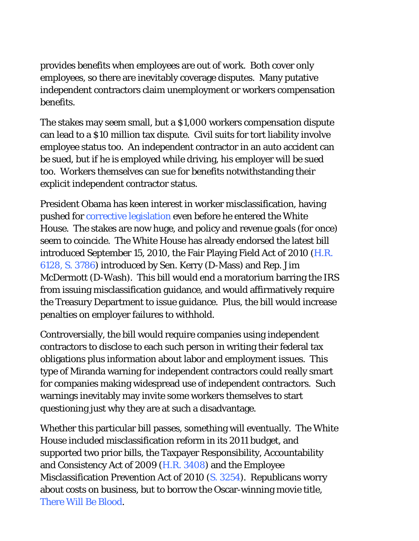provides benefits when employees are out of work. Both cover only employees, so there are inevitably coverage disputes. Many putative independent contractors claim unemployment or workers compensation benefits.

The stakes may *seem* small, but a \$1,000 workers compensation dispute can lead to a \$10 million tax dispute. Civil suits for tort liability involve employee status too. An independent contractor in an auto accident can be sued, but if he is employed while driving, his employer will be sued too. Workers themselves can sue for benefits notwithstanding their explicit independent contractor status.

President Obama has keen interest in worker misclassification, having pushed for corrective legislation even before he entered the White House. The stakes are now huge, and policy and revenue goals (for once) seem to coincide. The White House has already endorsed the latest bill introduced September 15, 2010, the Fair Playing Field Act of 2010 (H.R. 6128, S. 3786) introduced by Sen. Kerry (D-Mass) and Rep. Jim McDermott (D-Wash). This bill would end a moratorium barring the IRS from issuing misclassification guidance, and would affirmatively require the Treasury Department to issue guidance. Plus, the bill would increase penalties on employer failures to withhold.

Controversially, the bill would require companies using independent contractors to disclose to each such person in writing their federal tax obligations plus information about labor and employment issues. This type of Miranda warning for independent contractors could really smart for companies making widespread use of independent contractors. Such warnings inevitably may invite some workers themselves to start questioning just why they are at such a disadvantage.

Whether this particular bill passes, something will eventually. The White House included misclassification reform in its 2011 budget, and supported two prior bills, the Taxpayer Responsibility, Accountability and Consistency Act of 2009 (H.R. 3408) and the Employee Misclassification Prevention Act of 2010 (S. 3254). Republicans worry about costs on business, but to borrow the Oscar-winning movie title, There Will Be Blood.